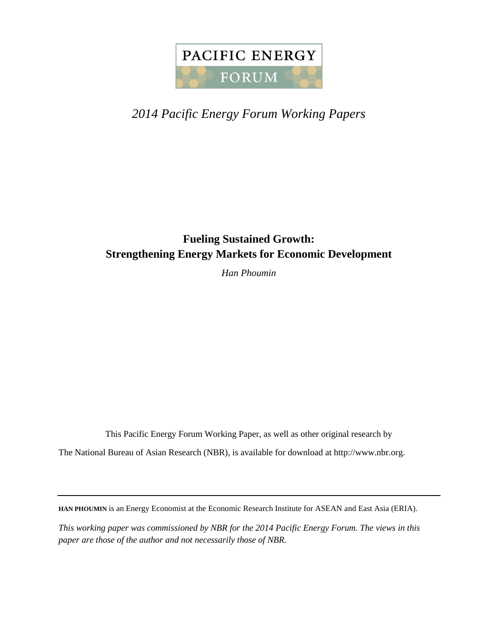

# *2014 Pacific Energy Forum Working Papers*

## **Fueling Sustained Growth: Strengthening Energy Markets for Economic Development**

*Han Phoumin*

This Pacific Energy Forum Working Paper, as well as other original research by

The National Bureau of Asian Research (NBR), is available for download at http://www.nbr.org.

**HAN PHOUMIN** is an Energy Economist at the Economic Research Institute for ASEAN and East Asia (ERIA).

*This working paper was commissioned by NBR for the 2014 Pacific Energy Forum. The views in this paper are those of the author and not necessarily those of NBR.*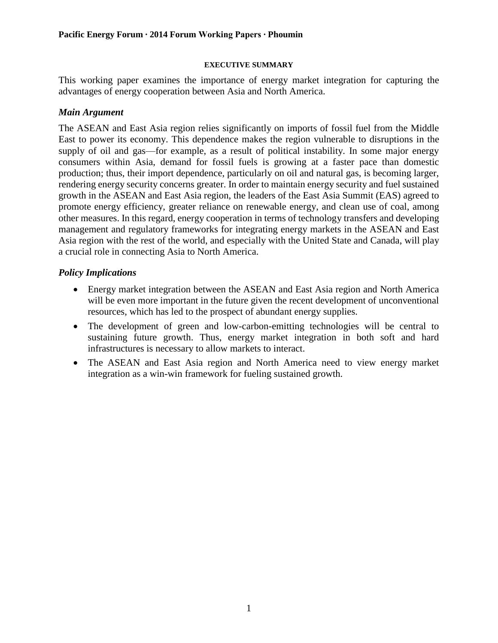## **EXECUTIVE SUMMARY**

This working paper examines the importance of energy market integration for capturing the advantages of energy cooperation between Asia and North America.

## *Main Argument*

The ASEAN and East Asia region relies significantly on imports of fossil fuel from the Middle East to power its economy. This dependence makes the region vulnerable to disruptions in the supply of oil and gas—for example, as a result of political instability. In some major energy consumers within Asia, demand for fossil fuels is growing at a faster pace than domestic production; thus, their import dependence, particularly on oil and natural gas, is becoming larger, rendering energy security concerns greater. In order to maintain energy security and fuel sustained growth in the ASEAN and East Asia region, the leaders of the East Asia Summit (EAS) agreed to promote energy efficiency, greater reliance on renewable energy, and clean use of coal, among other measures. In this regard, energy cooperation in terms of technology transfers and developing management and regulatory frameworks for integrating energy markets in the ASEAN and East Asia region with the rest of the world, and especially with the United State and Canada, will play a crucial role in connecting Asia to North America.

## *Policy Implications*

- Energy market integration between the ASEAN and East Asia region and North America will be even more important in the future given the recent development of unconventional resources, which has led to the prospect of abundant energy supplies.
- The development of green and low-carbon-emitting technologies will be central to sustaining future growth. Thus, energy market integration in both soft and hard infrastructures is necessary to allow markets to interact.
- The ASEAN and East Asia region and North America need to view energy market integration as a win-win framework for fueling sustained growth.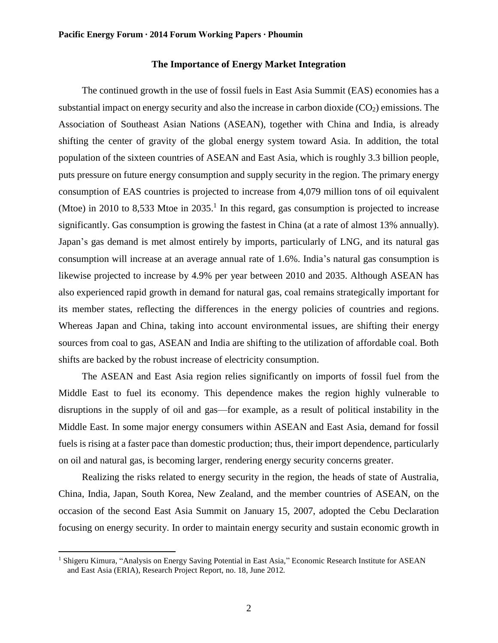## **The Importance of Energy Market Integration**

The continued growth in the use of fossil fuels in East Asia Summit (EAS) economies has a substantial impact on energy security and also the increase in carbon dioxide  $(CO<sub>2</sub>)$  emissions. The Association of Southeast Asian Nations (ASEAN), together with China and India, is already shifting the center of gravity of the global energy system toward Asia. In addition, the total population of the sixteen countries of ASEAN and East Asia, which is roughly 3.3 billion people, puts pressure on future energy consumption and supply security in the region. The primary energy consumption of EAS countries is projected to increase from 4,079 million tons of oil equivalent (Mtoe) in 2010 to 8,533 Mtoe in  $2035<sup>1</sup>$  In this regard, gas consumption is projected to increase significantly. Gas consumption is growing the fastest in China (at a rate of almost 13% annually). Japan's gas demand is met almost entirely by imports, particularly of LNG, and its natural gas consumption will increase at an average annual rate of 1.6%. India's natural gas consumption is likewise projected to increase by 4.9% per year between 2010 and 2035. Although ASEAN has also experienced rapid growth in demand for natural gas, coal remains strategically important for its member states, reflecting the differences in the energy policies of countries and regions. Whereas Japan and China, taking into account environmental issues, are shifting their energy sources from coal to gas, ASEAN and India are shifting to the utilization of affordable coal. Both shifts are backed by the robust increase of electricity consumption.

The ASEAN and East Asia region relies significantly on imports of fossil fuel from the Middle East to fuel its economy. This dependence makes the region highly vulnerable to disruptions in the supply of oil and gas—for example, as a result of political instability in the Middle East. In some major energy consumers within ASEAN and East Asia, demand for fossil fuels is rising at a faster pace than domestic production; thus, their import dependence, particularly on oil and natural gas, is becoming larger, rendering energy security concerns greater.

Realizing the risks related to energy security in the region, the heads of state of Australia, China, India, Japan, South Korea, New Zealand, and the member countries of ASEAN, on the occasion of the second East Asia Summit on January 15, 2007, adopted the Cebu Declaration focusing on energy security. In order to maintain energy security and sustain economic growth in

 $\overline{\phantom{a}}$ 

<sup>1</sup> Shigeru Kimura, "Analysis on Energy Saving Potential in East Asia," Economic Research Institute for ASEAN and East Asia (ERIA), Research Project Report, no. 18, June 2012*.*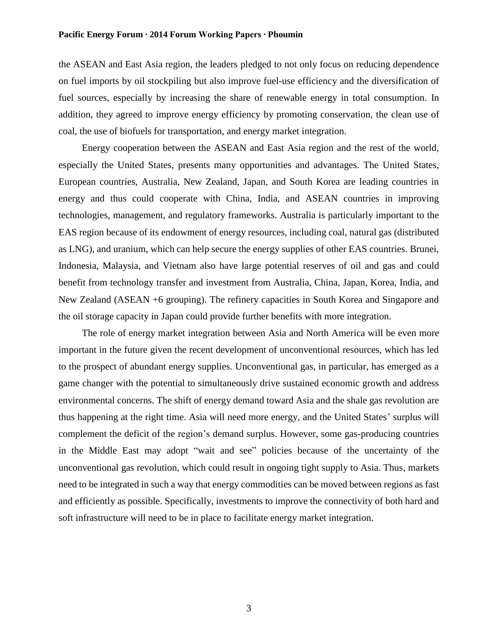the ASEAN and East Asia region, the leaders pledged to not only focus on reducing dependence on fuel imports by oil stockpiling but also improve fuel-use efficiency and the diversification of fuel sources, especially by increasing the share of renewable energy in total consumption. In addition, they agreed to improve energy efficiency by promoting conservation, the clean use of coal, the use of biofuels for transportation, and energy market integration.

Energy cooperation between the ASEAN and East Asia region and the rest of the world, especially the United States, presents many opportunities and advantages. The United States, European countries, Australia, New Zealand, Japan, and South Korea are leading countries in energy and thus could cooperate with China, India, and ASEAN countries in improving technologies, management, and regulatory frameworks. Australia is particularly important to the EAS region because of its endowment of energy resources, including coal, natural gas (distributed as LNG), and uranium, which can help secure the energy supplies of other EAS countries. Brunei, Indonesia, Malaysia, and Vietnam also have large potential reserves of oil and gas and could benefit from technology transfer and investment from Australia, China, Japan, Korea, India, and New Zealand (ASEAN +6 grouping). The refinery capacities in South Korea and Singapore and the oil storage capacity in Japan could provide further benefits with more integration.

The role of energy market integration between Asia and North America will be even more important in the future given the recent development of unconventional resources, which has led to the prospect of abundant energy supplies. Unconventional gas, in particular, has emerged as a game changer with the potential to simultaneously drive sustained economic growth and address environmental concerns. The shift of energy demand toward Asia and the shale gas revolution are thus happening at the right time. Asia will need more energy, and the United States' surplus will complement the deficit of the region's demand surplus. However, some gas-producing countries in the Middle East may adopt "wait and see" policies because of the uncertainty of the unconventional gas revolution, which could result in ongoing tight supply to Asia. Thus, markets need to be integrated in such a way that energy commodities can be moved between regions as fast and efficiently as possible. Specifically, investments to improve the connectivity of both hard and soft infrastructure will need to be in place to facilitate energy market integration.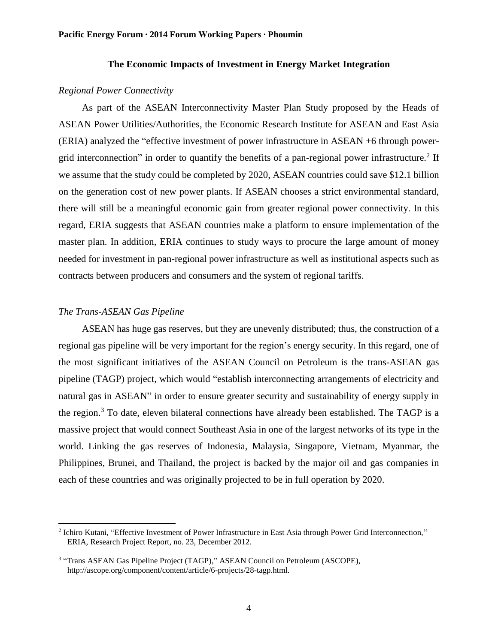## **The Economic Impacts of Investment in Energy Market Integration**

## *Regional Power Connectivity*

As part of the ASEAN Interconnectivity Master Plan Study proposed by the Heads of ASEAN Power Utilities/Authorities, the Economic Research Institute for ASEAN and East Asia (ERIA) analyzed the "effective investment of power infrastructure in ASEAN +6 through powergrid interconnection" in order to quantify the benefits of a pan-regional power infrastructure.<sup>2</sup> If we assume that the study could be completed by 2020, ASEAN countries could save \$12.1 billion on the generation cost of new power plants. If ASEAN chooses a strict environmental standard, there will still be a meaningful economic gain from greater regional power connectivity. In this regard, ERIA suggests that ASEAN countries make a platform to ensure implementation of the master plan. In addition, ERIA continues to study ways to procure the large amount of money needed for investment in pan-regional power infrastructure as well as institutional aspects such as contracts between producers and consumers and the system of regional tariffs.

#### *The Trans-ASEAN Gas Pipeline*

 $\overline{\phantom{a}}$ 

ASEAN has huge gas reserves, but they are unevenly distributed; thus, the construction of a regional gas pipeline will be very important for the region's energy security. In this regard, one of the most significant initiatives of the ASEAN Council on Petroleum is the trans-ASEAN gas pipeline (TAGP) project, which would "establish interconnecting arrangements of electricity and natural gas in ASEAN" in order to ensure greater security and sustainability of energy supply in the region.<sup>3</sup> To date, eleven bilateral connections have already been established. The TAGP is a massive project that would connect Southeast Asia in one of the largest networks of its type in the world. Linking the gas reserves of Indonesia, Malaysia, Singapore, Vietnam, Myanmar, the Philippines, Brunei, and Thailand, the project is backed by the major oil and gas companies in each of these countries and was originally projected to be in full operation by 2020.

<sup>&</sup>lt;sup>2</sup> Ichiro Kutani, "Effective Investment of Power Infrastructure in East Asia through Power Grid Interconnection," ERIA, Research Project Report, no. 23*,* December 2012.

<sup>&</sup>lt;sup>3</sup> "Trans ASEAN Gas Pipeline Project (TAGP)," ASEAN Council on Petroleum (ASCOPE), http://ascope.org/component/content/article/6-projects/28-tagp.html.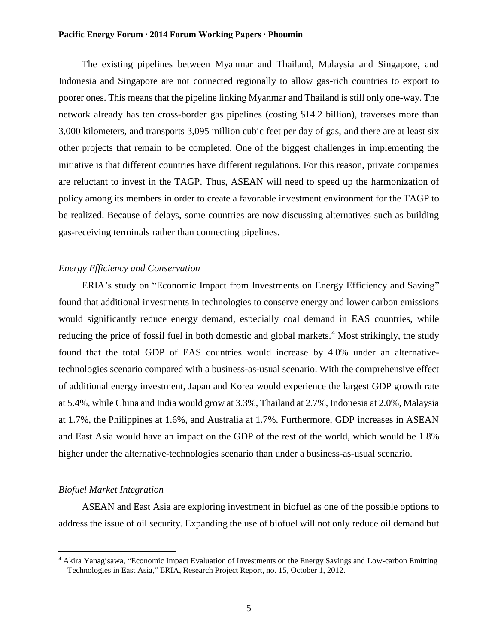The existing pipelines between Myanmar and Thailand, Malaysia and Singapore, and Indonesia and Singapore are not connected regionally to allow gas-rich countries to export to poorer ones. This means that the pipeline linking Myanmar and Thailand is still only one-way. The network already has ten cross-border gas pipelines (costing \$14.2 billion), traverses more than 3,000 kilometers, and transports 3,095 million cubic feet per day of gas, and there are at least six other projects that remain to be completed. One of the biggest challenges in implementing the initiative is that different countries have different regulations. For this reason, private companies are reluctant to invest in the TAGP. Thus, ASEAN will need to speed up the harmonization of policy among its members in order to create a favorable investment environment for the TAGP to be realized. Because of delays, some countries are now discussing alternatives such as building gas-receiving terminals rather than connecting pipelines.

## *Energy Efficiency and Conservation*

ERIA's study on "Economic Impact from Investments on Energy Efficiency and Saving" found that additional investments in technologies to conserve energy and lower carbon emissions would significantly reduce energy demand, especially coal demand in EAS countries, while reducing the price of fossil fuel in both domestic and global markets.<sup>4</sup> Most strikingly, the study found that the total GDP of EAS countries would increase by 4.0% under an alternativetechnologies scenario compared with a business-as-usual scenario. With the comprehensive effect of additional energy investment, Japan and Korea would experience the largest GDP growth rate at 5.4%, while China and India would grow at 3.3%, Thailand at 2.7%, Indonesia at 2.0%, Malaysia at 1.7%, the Philippines at 1.6%, and Australia at 1.7%. Furthermore, GDP increases in ASEAN and East Asia would have an impact on the GDP of the rest of the world, which would be 1.8% higher under the alternative-technologies scenario than under a business-as-usual scenario.

#### *Biofuel Market Integration*

 $\overline{\phantom{a}}$ 

ASEAN and East Asia are exploring investment in biofuel as one of the possible options to address the issue of oil security. Expanding the use of biofuel will not only reduce oil demand but

<sup>4</sup> Akira Yanagisawa, "Economic Impact Evaluation of Investments on the Energy Savings and Low-carbon Emitting Technologies in East Asia," ERIA, Research Project Report, no. 15*,* October 1, 2012.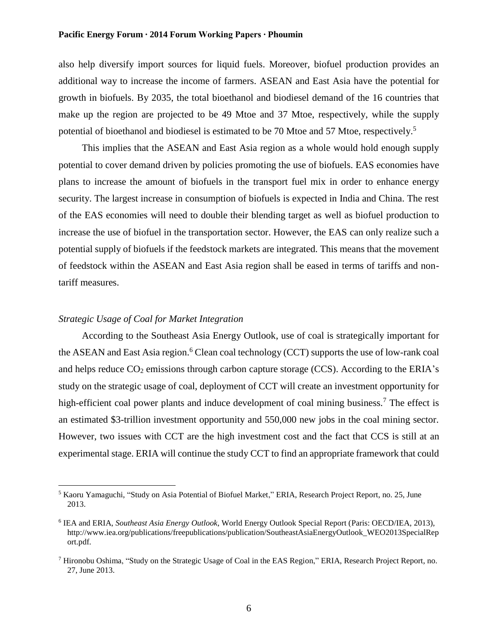also help diversify import sources for liquid fuels. Moreover, biofuel production provides an additional way to increase the income of farmers. ASEAN and East Asia have the potential for growth in biofuels. By 2035, the total bioethanol and biodiesel demand of the 16 countries that make up the region are projected to be 49 Mtoe and 37 Mtoe, respectively, while the supply potential of bioethanol and biodiesel is estimated to be 70 Mtoe and 57 Mtoe, respectively.<sup>5</sup>

This implies that the ASEAN and East Asia region as a whole would hold enough supply potential to cover demand driven by policies promoting the use of biofuels. EAS economies have plans to increase the amount of biofuels in the transport fuel mix in order to enhance energy security. The largest increase in consumption of biofuels is expected in India and China. The rest of the EAS economies will need to double their blending target as well as biofuel production to increase the use of biofuel in the transportation sector. However, the EAS can only realize such a potential supply of biofuels if the feedstock markets are integrated. This means that the movement of feedstock within the ASEAN and East Asia region shall be eased in terms of tariffs and nontariff measures.

## *Strategic Usage of Coal for Market Integration*

 $\overline{\phantom{a}}$ 

According to the Southeast Asia Energy Outlook, use of coal is strategically important for the ASEAN and East Asia region.<sup>6</sup> Clean coal technology (CCT) supports the use of low-rank coal and helps reduce  $CO_2$  emissions through carbon capture storage (CCS). According to the ERIA's study on the strategic usage of coal, deployment of CCT will create an investment opportunity for high-efficient coal power plants and induce development of coal mining business.<sup>7</sup> The effect is an estimated \$3-trillion investment opportunity and 550,000 new jobs in the coal mining sector. However, two issues with CCT are the high investment cost and the fact that CCS is still at an experimental stage. ERIA will continue the study CCT to find an appropriate framework that could

<sup>5</sup> Kaoru Yamaguchi, "Study on Asia Potential of Biofuel Market," ERIA, Research Project Report, no. 25, June 2013.

<sup>6</sup> IEA and ERIA, *Southeast Asia Energy Outlook*, World Energy Outlook Special Report (Paris: OECD/IEA, 2013), http://www.iea.org/publications/freepublications/publication/SoutheastAsiaEnergyOutlook\_WEO2013SpecialRep ort.pdf.

<sup>7</sup> Hironobu Oshima, "Study on the Strategic Usage of Coal in the EAS Region," ERIA, Research Project Report, no. 27, June 2013.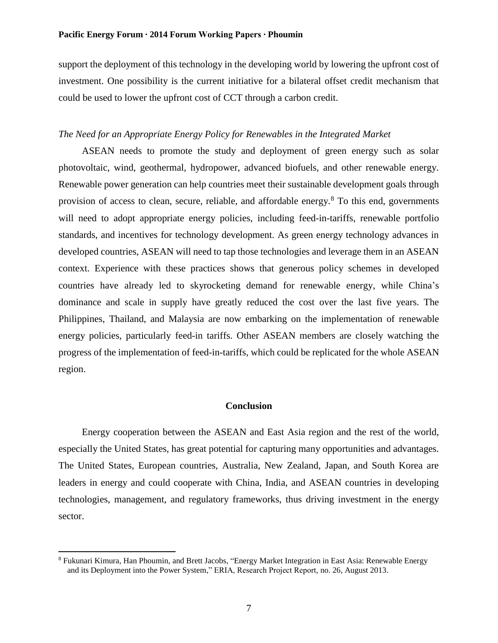support the deployment of this technology in the developing world by lowering the upfront cost of investment. One possibility is the current initiative for a bilateral offset credit mechanism that could be used to lower the upfront cost of CCT through a carbon credit.

## *The Need for an Appropriate Energy Policy for Renewables in the Integrated Market*

ASEAN needs to promote the study and deployment of green energy such as solar photovoltaic, wind, geothermal, hydropower, advanced biofuels, and other renewable energy. Renewable power generation can help countries meet their sustainable development goals through provision of access to clean, secure, reliable, and affordable energy. $8$  To this end, governments will need to adopt appropriate energy policies, including feed-in-tariffs, renewable portfolio standards, and incentives for technology development. As green energy technology advances in developed countries, ASEAN will need to tap those technologies and leverage them in an ASEAN context. Experience with these practices shows that generous policy schemes in developed countries have already led to skyrocketing demand for renewable energy, while China's dominance and scale in supply have greatly reduced the cost over the last five years. The Philippines, Thailand, and Malaysia are now embarking on the implementation of renewable energy policies, particularly feed-in tariffs. Other ASEAN members are closely watching the progress of the implementation of feed-in-tariffs, which could be replicated for the whole ASEAN region.

## **Conclusion**

Energy cooperation between the ASEAN and East Asia region and the rest of the world, especially the United States, has great potential for capturing many opportunities and advantages. The United States, European countries, Australia, New Zealand, Japan, and South Korea are leaders in energy and could cooperate with China, India, and ASEAN countries in developing technologies, management, and regulatory frameworks, thus driving investment in the energy sector.

 $\overline{\phantom{a}}$ 

<sup>8</sup> Fukunari Kimura, Han Phoumin, and Brett Jacobs, "Energy Market Integration in East Asia: Renewable Energy and its Deployment into the Power System," ERIA, Research Project Report, no. 26, August 2013.